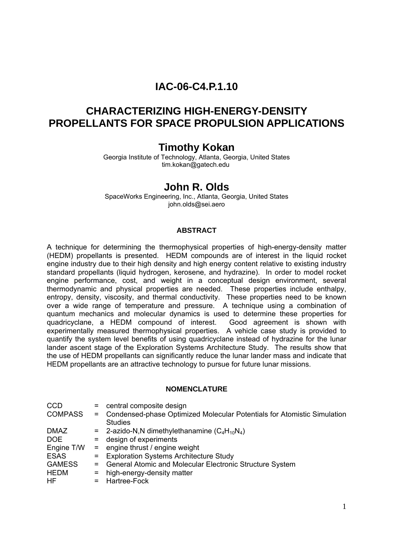# **IAC-06-C4.P.1.10**

# **CHARACTERIZING HIGH-ENERGY-DENSITY PROPELLANTS FOR SPACE PROPULSION APPLICATIONS**

## **Timothy Kokan**

Georgia Institute of Technology, Atlanta, Georgia, United States tim.kokan@gatech.edu

## **John R. Olds**

SpaceWorks Engineering, Inc., Atlanta, Georgia, United States john.olds@sei.aero

#### **ABSTRACT**

A technique for determining the thermophysical properties of high-energy-density matter (HEDM) propellants is presented. HEDM compounds are of interest in the liquid rocket engine industry due to their high density and high energy content relative to existing industry standard propellants (liquid hydrogen, kerosene, and hydrazine). In order to model rocket engine performance, cost, and weight in a conceptual design environment, several thermodynamic and physical properties are needed. These properties include enthalpy, entropy, density, viscosity, and thermal conductivity. These properties need to be known over a wide range of temperature and pressure. A technique using a combination of quantum mechanics and molecular dynamics is used to determine these properties for quadricyclane, a HEDM compound of interest. Good agreement is shown with experimentally measured thermophysical properties. A vehicle case study is provided to quantify the system level benefits of using quadricyclane instead of hydrazine for the lunar lander ascent stage of the Exploration Systems Architecture Study. The results show that the use of HEDM propellants can significantly reduce the lunar lander mass and indicate that HEDM propellants are an attractive technology to pursue for future lunar missions.

#### **NOMENCLATURE**

| $=$ | central composite design                                                            |
|-----|-------------------------------------------------------------------------------------|
|     | = Condensed-phase Optimized Molecular Potentials for Atomistic Simulation           |
|     | <b>Studies</b>                                                                      |
|     | $=$ 2-azido-N,N dimethylethanamine (C <sub>4</sub> H <sub>10</sub> N <sub>4</sub> ) |
|     | $=$ design of experiments                                                           |
|     | $=$ engine thrust / engine weight                                                   |
|     | = Exploration Systems Architecture Study                                            |
| $=$ | General Atomic and Molecular Electronic Structure System                            |
| $=$ | high-energy-density matter                                                          |
|     | = Hartree-Fock                                                                      |
|     |                                                                                     |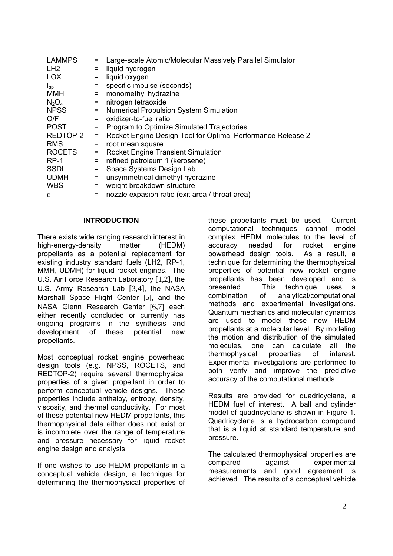| <b>LAMMPS</b>   |          | Large-scale Atomic/Molecular Massively Parallel Simulator   |
|-----------------|----------|-------------------------------------------------------------|
| LH <sub>2</sub> | $=$      | liquid hydrogen                                             |
| <b>LOX</b>      | $=$      | liquid oxygen                                               |
| $I_{sp}$        | $=$      | specific impulse (seconds)                                  |
| <b>MMH</b>      | $=$      | monomethyl hydrazine                                        |
| $N_2O_4$        | $=$      | nitrogen tetraoxide                                         |
| <b>NPSS</b>     | $=$      | <b>Numerical Propulsion System Simulation</b>               |
| O/F             | $=$      | oxidizer-to-fuel ratio                                      |
| <b>POST</b>     | $\equiv$ | Program to Optimize Simulated Trajectories                  |
| REDTOP-2        | $\equiv$ | Rocket Engine Design Tool for Optimal Performance Release 2 |
| <b>RMS</b>      | $=$      | root mean square                                            |
| <b>ROCETS</b>   | $=$      | <b>Rocket Engine Transient Simulation</b>                   |
| $RP-1$          | $=$      | refined petroleum 1 (kerosene)                              |
| <b>SSDL</b>     | $=$      | Space Systems Design Lab                                    |
| <b>UDMH</b>     | $=$      | unsymmetrical dimethyl hydrazine                            |
| <b>WBS</b>      | $=$      | weight breakdown structure                                  |
| £.              | =        | nozzle expasion ratio (exit area / throat area)             |

#### **INTRODUCTION**

There exists wide ranging research interest in high-energy-density matter (HEDM) propellants as a potential replacement for existing industry standard fuels (LH2, RP-1, MMH, UDMH) for liquid rocket engines. The U.S. Air Force Research Laboratory [[1,](#page-10-0)[2\]](#page-10-1), the U.S. Army Research Lab [[3,](#page-10-2)[4\]](#page-10-3), the NASA Marshall Space Flight Center [[5](#page-10-4)], and the NASA Glenn Research Center [[6,](#page-10-5)[7](#page-10-6)] each either recently concluded or currently has ongoing programs in the synthesis and development of these potential new propellants.

Most conceptual rocket engine powerhead design tools (e.g. NPSS, ROCETS, and REDTOP-2) require several thermophysical properties of a given propellant in order to perform conceptual vehicle designs. These properties include enthalpy, entropy, density, viscosity, and thermal conductivity. For most of these potential new HEDM propellants, this thermophysical data either does not exist or is incomplete over the range of temperature and pressure necessary for liquid rocket engine design and analysis.

If one wishes to use HEDM propellants in a conceptual vehicle design, a technique for determining the thermophysical properties of <span id="page-1-0"></span>these propellants must be used. Current computational techniques cannot model complex HEDM molecules to the level of accuracy needed for rocket engine powerhead design tools. As a result, a technique for determining the thermophysical properties of potential new rocket engine propellants has been developed and is presented. This technique uses a combination of analytical/computational methods and experimental investigations. Quantum mechanics and molecular dynamics are used to model these new HEDM propellants at a molecular level. By modeling the motion and distribution of the simulated molecules, one can calculate all the thermophysical properties of interest. Experimental investigations are performed to both verify and improve the predictive accuracy of the computational methods.

Results are provided for quadricyclane, a HEDM fuel of interest. A ball and cylinder model of quadricyclane is shown in [Figure 1.](#page-2-0) Quadricyclane is a hydrocarbon compound that is a liquid at standard temperature and pressure.

The calculated thermophysical properties are compared against experimental measurements and good agreement is achieved. The results of a conceptual vehicle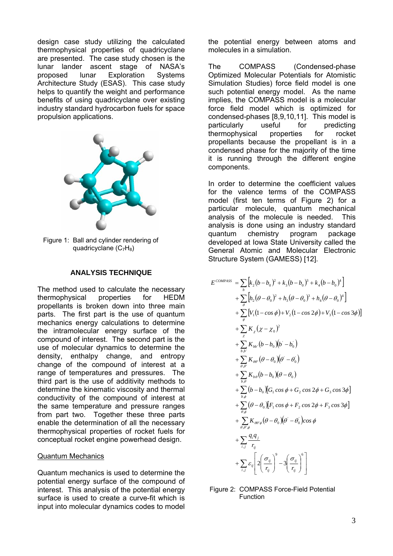design case study utilizing the calculated thermophysical properties of quadricyclane are presented. The case study chosen is the lunar lander ascent stage of NASA's proposed lunar Exploration Systems Architecture Study (ESAS). This case study helps to quantify the weight and performance benefits of using quadricyclane over existing industry standard hydrocarbon fuels for space propulsion applications.



<span id="page-2-0"></span>Figure 1: Ball and cylinder rendering of quadricyclane  $(C_7H_8)$ 

#### **ANALYSIS TECHNIQUE**

The method used to calculate the necessary thermophysical properties for HEDM propellants is broken down into three main parts. The first part is the use of quantum mechanics energy calculations to determine the intramolecular energy surface of the compound of interest. The second part is the use of molecular dynamics to determine the density, enthalpy change, and entropy change of the compound of interest at a range of temperatures and pressures. The third part is the use of additivity methods to determine the kinematic viscosity and thermal conductivity of the compound of interest at the same temperature and pressure ranges from part two. Together these three parts enable the determination of all the necessary thermophysical properties of rocket fuels for conceptual rocket engine powerhead design.

#### Quantum Mechanics

Quantum mechanics is used to determine the potential energy surface of the compound of interest. This analysis of the potential energy surface is used to create a curve-fit which is input into molecular dynamics codes to model the potential energy between atoms and molecules in a simulation.

The COMPASS (Condensed-phase Optimized Molecular Potentials for Atomistic Simulation Studies) force field model is one such potential energy model. As the name implies, the COMPASS model is a molecular force field model which is optimized for condensed-phases [\[8,](#page-10-7)[9,](#page-10-8)[10,](#page-10-9)[11\]](#page-10-10). This model is particularly useful for predicting thermophysical properties for rocket propellants because the propellant is in a condensed phase for the majority of the time it is running through the different engine components.

In order to determine the coefficient values for the valence terms of the COMPASS model (first ten terms of [Figure 2\)](#page-2-1) for a particular molecule, quantum mechanical analysis of the molecule is needed. This analysis is done using an industry standard quantum chemistry program package developed at Iowa State University called the General Atomic and Molecular Electronic Structure System (GAMESS) [\[12\]](#page-10-11).

$$
E^{COMPASS} = \sum_{b} \left[ k_{2} (b - b_{0})^{2} + k_{3} (b - b_{0})^{3} + k_{4} (b - b_{0})^{4} \right] + \sum_{\theta} \left[ h_{2} (\theta - \theta_{0})^{2} + h_{3} (\theta - \theta_{0})^{3} + h_{4} (\theta - \theta_{0})^{4} \right] + \sum_{\theta} \left[ V_{1} (1 - \cos \phi) + V_{2} (1 - \cos 2\phi) + V_{3} (1 - \cos 3\phi) \right] + \sum_{\theta} K_{\theta} (\chi - \chi_{0})^{2} + \sum_{\theta, b'} K_{\theta b'} (b - b_{0}) (b' - b'_{0}) + \sum_{\theta, \theta'} K_{\theta \theta'} (\theta - \theta_{0}) (\theta' - \theta'_{0}) + \sum_{\theta, \theta} K_{\theta \theta} (b - b_{0}) (\theta - \theta_{0}) + \sum_{\theta, \phi} (b - b_{0}) [G_{1} \cos \phi + G_{2} \cos 2\phi + G_{3} \cos 3\phi] + \sum_{\theta, \phi} (\theta - \theta_{0}) [F_{1} \cos \phi + F_{2} \cos 2\phi + F_{3} \cos 3\phi] + \sum_{\theta, \theta', \phi} K_{\theta \theta' \phi} (\theta - \theta_{0}) (\theta' - \theta'_{0}) \cos \phi + \sum_{\theta, \theta', \phi} \frac{q_{i} q_{j}}{r_{ij}} + \sum_{\theta, \theta'} \frac{q_{i} q_{j}}{r_{ij}}^{2} \left[ 2 \left( \frac{\sigma_{ij}}{r_{ij}} \right)^{\theta} - 3 \left( \frac{\sigma_{ij}}{r_{ij}} \right)^{\theta} \right]
$$

<span id="page-2-1"></span>Figure 2: COMPASS Force-Field Potential Function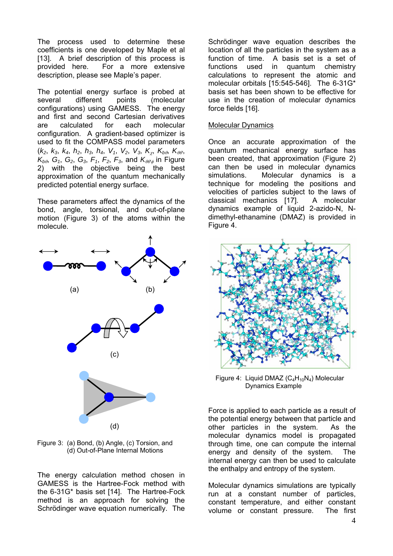The process used to determine these coefficients is one developed by Maple et al [[13\]](#page-10-12). A brief description of this process is provided here. For a more extensive description, please see Maple's paper.

The potential energy surface is probed at several different points (molecular configurations) using GAMESS. The energy and first and second Cartesian derivatives are calculated for each molecular configuration. A gradient-based optimizer is used to fit the COMPASS model parameters  $(k_2, k_3, k_4, h_2, h_3, h_4, V_1, V_2, V_3, K_\chi, K_{b\theta}, K_{\theta\theta},$  $K_{b\theta}$ ,  $G_1$ ,  $G_2$ ,  $G_3$ ,  $F_1$ ,  $F_2$ ,  $F_3$ , and  $K_{\theta\theta'\phi}$  in Figure [2\)](#page-2-1) with the objective being the best approximation of the quantum mechanically predicted potential energy surface.

These parameters affect the dynamics of the bond, angle, torsional, and out-of-plane motion ([Figure 3\)](#page-3-0) of the atoms within the molecule.



<span id="page-3-0"></span>Figure 3: (a) Bond, (b) Angle, (c) Torsion, and (d) Out-of-Plane Internal Motions

The energy calculation method chosen in GAMESS is the Hartree-Fock method with the 6-31G\* basis set [[14\]](#page-10-13). The Hartree-Fock method is an approach for solving the Schrödinger wave equation numerically. The

Schrödinger wave equation describes the location of all the particles in the system as a function of time. A basis set is a set of functions used in quantum chemistry calculations to represent the atomic and molecular orbitals [\[15:](#page-10-14)545-546]. The 6-31G\* basis set has been shown to be effective for use in the creation of molecular dynamics force fields [\[16\]](#page-10-15).

#### Molecular Dynamics

Once an accurate approximation of the quantum mechanical energy surface has been created, that approximation [\(Figure 2\)](#page-2-1) can then be used in molecular dynamics simulations. Molecular dynamics is a technique for modeling the positions and velocities of particles subject to the laws of classical mechanics [[17\]](#page-10-16). A molecular dynamics example of liquid 2-azido-N, Ndimethyl-ethanamine (DMAZ) is provided in [Figure 4.](#page-3-1)



<span id="page-3-1"></span>Figure 4: Liquid DMAZ  $(C_4H_{10}N_4)$  Molecular Dynamics Example

Force is applied to each particle as a result of the potential energy between that particle and other particles in the system. As the molecular dynamics model is propagated through time, one can compute the internal energy and density of the system. The internal energy can then be used to calculate the enthalpy and entropy of the system.

Molecular dynamics simulations are typically run at a constant number of particles, constant temperature, and either constant volume or constant pressure. The first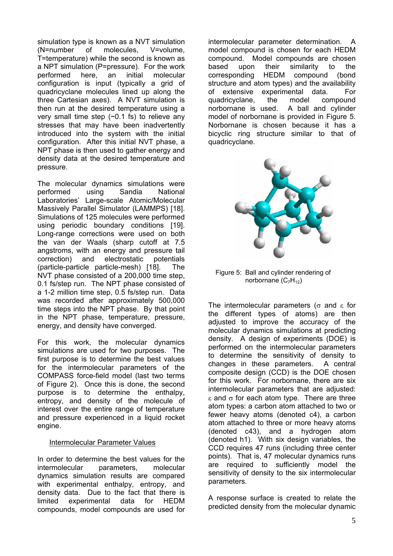simulation type is known as a NVT simulation (N=number of molecules, V=volume, T=temperature) while the second is known as a NPT simulation (P=pressure). For the work performed here, an initial molecular configuration is input (typically a grid of quadricyclane molecules lined up along the three Cartesian axes). A NVT simulation is then run at the desired temperature using a very small time step (~0.1 fs) to relieve any stresses that may have been inadvertently introduced into the system with the initial configuration. After this initial NVT phase, a NPT phase is then used to gather energy and density data at the desired temperature and pressure.

The molecular dynamics simulations were performed using Sandia National Laboratories' Large-scale Atomic/Molecular Massively Parallel Simulator (LAMMPS) [[18\]](#page-10-17). Simulations of 125 molecules were performed using periodic boundary conditions [[19\]](#page-10-18). Long-range corrections were used on both the van der Waals (sharp cutoff at 7.5 angstroms, with an energy and pressure tail correction) and electrostatic potentials (particle-particle particle-mesh) [[18\].](#page-4-0) The NVT phase consisted of a 200,000 time step, 0.1 fs/step run. The NPT phase consisted of a 1-2 million time step, 0.5 fs/step run. Data was recorded after approximately 500,000 time steps into the NPT phase. By that point in the NPT phase, temperature, pressure, energy, and density have converged.

For this work, the molecular dynamics simulations are used for two purposes. The first purpose is to determine the best values for the intermolecular parameters of the COMPASS force-field model (last two terms of [Figure 2\)](#page-2-1). Once this is done, the second purpose is to determine the enthalpy, entropy, and density of the molecule of interest over the entire range of temperature and pressure experienced in a liquid rocket engine.

#### Intermolecular Parameter Values

In order to determine the best values for the intermolecular parameters, molecular dynamics simulation results are compared with experimental enthalpy, entropy, and density data. Due to the fact that there is limited experimental data for HEDM compounds, model compounds are used for

intermolecular parameter determination. A model compound is chosen for each HEDM compound. Model compounds are chosen based upon their similarity to the corresponding HEDM compound (bond structure and atom types) and the availability of extensive experimental data. For quadricyclane, the model compound norbornane is used. A ball and cylinder model of norbornane is provided in [Figure 5.](#page-4-1) Norbornane is chosen because it has a bicyclic ring structure similar to that of quadricyclane.



<span id="page-4-1"></span><span id="page-4-0"></span>Figure 5: Ball and cylinder rendering of norbornane  $(C_7H_{12})$ 

The intermolecular parameters ( $\sigma$  and  $\epsilon$  for the different types of atoms) are then adjusted to improve the accuracy of the molecular dynamics simulations at predicting density. A design of experiments (DOE) is performed on the intermolecular parameters to determine the sensitivity of density to changes in these parameters. A central composite design (CCD) is the DOE chosen for this work. For norbornane, there are six intermolecular parameters that are adjusted: ε and  $\sigma$  for each atom type. There are three atom types: a carbon atom attached to two or fewer heavy atoms (denoted c4), a carbon atom attached to three or more heavy atoms (denoted c43), and a hydrogen atom (denoted h1). With six design variables, the CCD requires 47 runs (including three center points). That is, 47 molecular dynamics runs are required to sufficiently model the sensitivity of density to the six intermolecular parameters.

A response surface is created to relate the predicted density from the molecular dynamic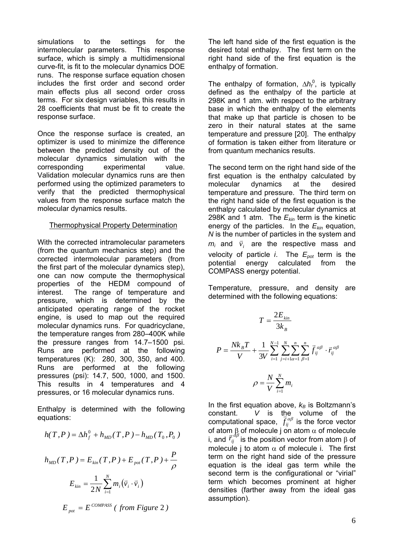simulations to the settings for the intermolecular parameters. This response surface, which is simply a multidimensional curve-fit, is fit to the molecular dynamics DOE runs. The response surface equation chosen includes the first order and second order main effects plus all second order cross terms. For six design variables, this results in 28 coefficients that must be fit to create the response surface.

Once the response surface is created, an optimizer is used to minimize the difference between the predicted density out of the molecular dynamics simulation with the corresponding experimental value. Validation molecular dynamics runs are then performed using the optimized parameters to verify that the predicted thermophysical values from the response surface match the molecular dynamics results.

#### Thermophysical Property Determination

With the corrected intramolecular parameters (from the quantum mechanics step) and the corrected intermolecular parameters (from the first part of the molecular dynamics step), one can now compute the thermophysical properties of the HEDM compound of interest. The range of temperature and pressure, which is determined by the anticipated operating range of the rocket engine, is used to map out the required molecular dynamics runs. For quadricyclane, the temperature ranges from 280–400K while the pressure ranges from 14.7–1500 psi. Runs are performed at the following temperatures (K): 280, 300, 350, and 400. Runs are performed at the following pressures (psi): 14.7, 500, 1000, and 1500. This results in 4 temperatures and 4 pressures, or 16 molecular dynamics runs.

Enthalpy is determined with the following equations:

$$
h(T, P) = \Delta h_f^0 + h_{MD}(T, P) - h_{MD}(T_0, P_0)
$$
\n
$$
h_{MD}(T, P) = E_{kin}(T, P) + E_{pot}(T, P) + \frac{P}{\rho}
$$
\nor atom

\nin, and  $\overline{r}_i^0$  model.

\ninometric

\n
$$
E_{kin} = \frac{1}{2N} \sum_{i=1}^{N} m_i (\overline{v}_i \cdot \overline{v}_i)
$$
\nterm of equation

\n
$$
E_{pot} = E^{COMPASS}
$$
\n(from Figure 2)

The left hand side of the first equation is the desired total enthalpy. The first term on the right hand side of the first equation is the enthalpy of formation.

The enthalpy of formation, ∆*h*<sub>f</sub><sup>0</sup>, is typically defined as the enthalpy of the particle at 298K and 1 atm. with respect to the arbitrary base in which the enthalpy of the elements that make up that particle is chosen to be zero in their natural states at the same temperature and pressure [\[20\]](#page-10-19). The enthalpy of formation is taken either from literature or from quantum mechanics results.

The second term on the right hand side of the first equation is the enthalpy calculated by molecular dynamics at the desired temperature and pressure. The third term on the right hand side of the first equation is the enthalpy calculated by molecular dynamics at 298K and 1 atm. The *Ekin* term is the kinetic energy of the particles. In the *Ekin* equation, *N* is the number of particles in the system and  $m_i$  and  $\vec{v}_i$  are the respective mass and velocity of particle *i*. The *Epot* term is the potential energy calculated from the COMPASS energy potential.

Temperature, pressure, and density are determined with the following equations:

$$
T = \frac{2E_{kin}}{3k_B}
$$
  

$$
P = \frac{Nk_B T}{V} + \frac{1}{3V} \sum_{i=1}^{N-1} \sum_{j=i+1}^{N} \sum_{\alpha=1}^{n} \sum_{\beta=1}^{n} \vec{f}_{ij}^{\alpha\beta} \cdot \vec{r}_{ij}^{\alpha\beta}
$$
  

$$
\rho = \frac{N}{V} \sum_{i=1}^{N} m_i
$$

In the first equation above,  $k_B$  is Boltzmann's constant. *V* is the volume of the constant. In the volume of the constant. The state of the constant of the constant of the constant of the const<br>*figures* is the force vector of atom  $\beta$  of molecule j on atom  $\alpha$  of molecule i, and  $\vec{r}^{\,d{\beta}}_i$  is the position vector from atom β of molecule j to atom  $\alpha$  of molecule i. The first term on the right hand side of the pressure equation is the ideal gas term while the second term is the configurational or "virial" term which becomes prominent at higher densities (farther away from the ideal gas assumption).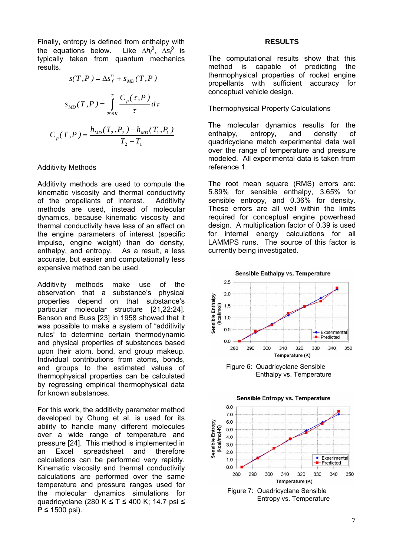Finally, entropy is defined from enthalpy with the equations below. Like ∆*h*<sub>f</sub><sup>0</sup>, ∆*s*<sub>f</sub><sup>0</sup> is typically taken from quantum mechanics results.

$$
s(T, P) = \Delta s_f^0 + s_{MD}(T, P)
$$

$$
s_{MD}(T, P) = \int_{298K}^{T} \frac{C_p(\tau, P)}{\tau} d\tau
$$

$$
C_p(T, P) = \frac{h_{MD}(T_2, P_2) - h_{MD}(T_1, P_1)}{T_2 - T_1}
$$

#### Additivity Methods

Additivity methods are used to compute the kinematic viscosity and thermal conductivity of the propellants of interest. Additivity methods are used, instead of molecular dynamics, because kinematic viscosity and thermal conductivity have less of an affect on the engine parameters of interest (specific impulse, engine weight) than do density, enthalpy, and entropy. As a result, a less accurate, but easier and computationally less expensive method can be used.

Additivity methods make use of the observation that a substance's physical properties depend on that substance's particular molecular structure [[21,](#page-10-20)[22:](#page-10-21)24]. Benson and Buss [[23\]](#page-10-22) in 1958 showed that it was possible to make a system of "additivity rules" to determine certain thermodynamic and physical properties of substances based upon their atom, bond, and group makeup. Individual contributions from atoms, bonds, and groups to the estimated values of thermophysical properties can be calculated by regressing empirical thermophysical data for known substances.

For this work, the additivity parameter method developed by Chung et al. is used for its ability to handle many different molecules over a wide range of temperature and pressure [[24\]](#page-10-23). This method is implemented in an Excel spreadsheet and therefore calculations can be performed very rapidly. Kinematic viscosity and thermal conductivity calculations are performed over the same temperature and pressure ranges used for the molecular dynamics simulations for quadricyclane (280 K ≤ T ≤ 400 K; 14.7 psi ≤  $P \le 1500$  psi).

#### **RESULTS**

The computational results show that this method is capable of predicting the thermophysical properties of rocket engine propellants with sufficient accuracy for conceptual vehicle design.

#### Thermophysical Property Calculations

The molecular dynamics results for the enthalpy, entropy, and density of quadricyclane match experimental data well over the range of temperature and pressure modeled. All experimental data is taken from reference [1.](#page-1-0)

The root mean square (RMS) errors are: 5.89% for sensible enthalpy, 3.65% for sensible entropy, and 0.36% for density. These errors are all well within the limits required for conceptual engine powerhead design. A multiplication factor of 0.39 is used for internal energy calculations for all LAMMPS runs. The source of this factor is currently being investigated.



Enthalpy vs. Temperature

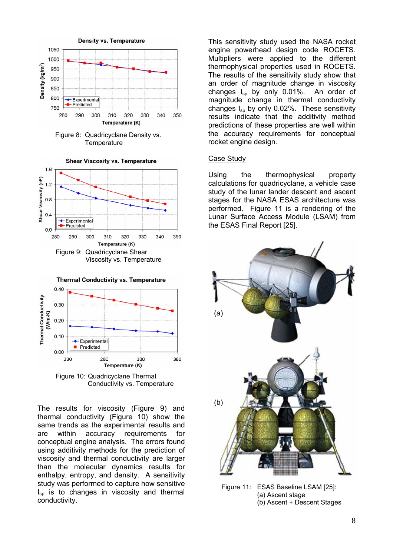

Figure 8: Quadricyclane Density vs. **Temperature** 



<span id="page-7-0"></span>

<span id="page-7-2"></span><span id="page-7-1"></span>Figure 10: Quadricyclane Thermal Conductivity vs. Temperature

The results for viscosity ([Figure 9\)](#page-7-0) and thermal conductivity ([Figure 10\)](#page-7-1) show the same trends as the experimental results and are within accuracy requirements for conceptual engine analysis. The errors found using additivity methods for the prediction of viscosity and thermal conductivity are larger than the molecular dynamics results for enthalpy, entropy, and density. A sensitivity study was performed to capture how sensitive  $I_{\rm{sn}}$  is to changes in viscosity and thermal conductivity.

This sensitivity study used the NASA rocket engine powerhead design code ROCETS. Multipliers were applied to the different thermophysical properties used in ROCETS. The results of the sensitivity study show that an order of magnitude change in viscosity changes  $I_{\rm{sn}}$  by only 0.01%. An order of magnitude change in thermal conductivity changes  $I_{\rm{so}}$  by only 0.02%. These sensitivity results indicate that the additivity method predictions of these properties are well within the accuracy requirements for conceptual rocket engine design.

### Case Study

Using the thermophysical property calculations for quadricyclane, a vehicle case study of the lunar lander descent and ascent stages for the NASA ESAS architecture was performed. [Figure 11](#page-7-2) is a rendering of the Lunar Surface Access Module (LSAM) from the ESAS Final Report [\[25\]](#page-7-3).

<span id="page-7-3"></span>

Figure 11: ESAS Baseline LSAM [[25\]](#page-10-24): (a) Ascent stage (b) Ascent + Descent Stages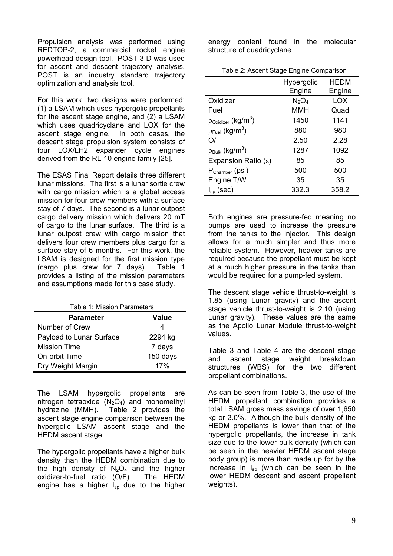Propulsion analysis was performed using REDTOP-2, a commercial rocket engine powerhead design tool. POST 3-D was used for ascent and descent trajectory analysis. POST is an industry standard trajectory optimization and analysis tool.

For this work, two designs were performed: (1) a LSAM which uses hypergolic propellants for the ascent stage engine, and (2) a LSAM which uses quadricyclane and LOX for the ascent stage engine. In both cases, the descent stage propulsion system consists of four LOX/LH2 expander cycle engines derived from the RL-10 engine family [\[25\]](#page-7-3).

The ESAS Final Report details three different lunar missions. The first is a lunar sortie crew with cargo mission which is a global access mission for four crew members with a surface stay of 7 days. The second is a lunar outpost cargo delivery mission which delivers 20 mT of cargo to the lunar surface. The third is a lunar outpost crew with cargo mission that delivers four crew members plus cargo for a surface stay of 6 months. For this work, the LSAM is designed for the first mission type (cargo plus crew for 7 days). [Table 1](#page-8-0) provides a listing of the mission parameters and assumptions made for this case study.

<span id="page-8-0"></span>

| Table 1: Mission Parameters |              |  |  |
|-----------------------------|--------------|--|--|
| <b>Parameter</b>            | <b>Value</b> |  |  |
| Number of Crew              |              |  |  |
| Payload to Lunar Surface    | 2294 kg      |  |  |
| <b>Mission Time</b>         | 7 days       |  |  |
| On-orbit Time               | 150 days     |  |  |
| Dry Weight Margin           | 17%          |  |  |

The LSAM hypergolic propellants are nitrogen tetraoxide  $(N_2O_4)$  and monomethyl<br>hydrazine (MMH). Table 2 provides the [Table 2](#page-8-1) provides the ascent stage engine comparison between the hypergolic LSAM ascent stage and the HEDM ascent stage.

The hypergolic propellants have a higher bulk density than the HEDM combination due to the high density of  $N_2O_4$  and the higher oxidizer-to-fuel ratio (O/F). The HEDM engine has a higher  $I_{\rm{so}}$  due to the higher

energy content found in the molecular structure of quadricyclane.

<span id="page-8-1"></span>

| Table 2: Ascent Stage Engine Comparison |  |
|-----------------------------------------|--|
|-----------------------------------------|--|

|                                            | Hypergolic | HEDM   |
|--------------------------------------------|------------|--------|
|                                            | Engine     | Engine |
| Oxidizer                                   | $N_2O_4$   | LOX    |
| Fuel                                       | <b>MMH</b> | Quad   |
| $p_{\text{Oxidizer}}$ (kg/m <sup>3</sup> ) | 1450       | 1141   |
| $p_{\text{Full}}$ (kg/m <sup>3</sup> )     | 880        | 980    |
| O/F                                        | 2.50       | 2.28   |
| $\rho_{\text{Bulk}}$ (kg/m <sup>3</sup> )  | 1287       | 1092   |
| Expansion Ratio $(\epsilon)$               | 85         | 85     |
| $P_{\text{Chamber}}$ (psi)                 | 500        | 500    |
| Engine T/W                                 | 35         | 35     |
| $I_{\rm{so}}$ (sec)                        | 332.3      | 358.2  |

Both engines are pressure-fed meaning no pumps are used to increase the pressure from the tanks to the injector. This design allows for a much simpler and thus more reliable system. However, heavier tanks are required because the propellant must be kept at a much higher pressure in the tanks than would be required for a pump-fed system.

The descent stage vehicle thrust-to-weight is 1.85 (using Lunar gravity) and the ascent stage vehicle thrust-to-weight is 2.10 (using Lunar gravity). These values are the same as the Apollo Lunar Module thrust-to-weight values.

[Table 3](#page-9-0) and [Table 4](#page-9-1) are the descent stage and ascent stage weight breakdown structures (WBS) for the two different propellant combinations.

As can be seen from [Table 3,](#page-9-0) the use of the HEDM propellant combination provides a total LSAM gross mass savings of over 1,650 kg or 3.0%. Although the bulk density of the HEDM propellants is lower than that of the hypergolic propellants, the increase in tank size due to the lower bulk density (which can be seen in the heavier HEDM ascent stage body group) is more than made up for by the increase in  $I_{\rm SD}$  (which can be seen in the lower HEDM descent and ascent propellant weights).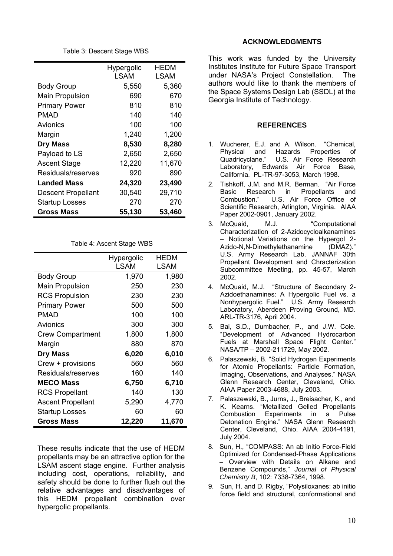Table 3: Descent Stage WBS

<span id="page-9-0"></span>

|                        | Hypergolic  | HEDM   |
|------------------------|-------------|--------|
|                        | <b>LSAM</b> | LSAM   |
| <b>Body Group</b>      | 5,550       | 5,360  |
| <b>Main Propulsion</b> | 690         | 670    |
| <b>Primary Power</b>   | 810         | 810    |
| PMAD                   | 140         | 140    |
| Avionics               | 100         | 100    |
| Margin                 | 1,240       | 1,200  |
| <b>Dry Mass</b>        | 8,530       | 8,280  |
| Payload to LS          | 2,650       | 2,650  |
| <b>Ascent Stage</b>    | 12,220      | 11,670 |
| Residuals/reserves     | 920         | 890    |
| <b>Landed Mass</b>     | 24,320      | 23,490 |
| Descent Propellant     | 30,540      | 29,710 |
| <b>Startup Losses</b>  | 270         | 270    |
| Gross Mass             | 55,130      | 53,460 |

Table 4: Ascent Stage WBS

<span id="page-9-1"></span>

|                          | Hypergolic<br><b>LSAM</b> | <b>HEDM</b><br>LSAM |
|--------------------------|---------------------------|---------------------|
| <b>Body Group</b>        | 1,970                     | 1,980               |
| <b>Main Propulsion</b>   | 250                       | 230                 |
| <b>RCS Propulsion</b>    | 230                       | 230                 |
| <b>Primary Power</b>     | 500                       | 500                 |
| PMAD                     | 100                       | 100                 |
| Avionics                 | 300                       | 300                 |
| <b>Crew Compartment</b>  | 1,800                     | 1,800               |
| Margin                   | 880                       | 870                 |
| <b>Dry Mass</b>          | 6,020                     | 6,010               |
| Crew + provisions        | 560                       | 560                 |
| Residuals/reserves       | 160                       | 140                 |
| <b>MECO Mass</b>         | 6,750                     | 6,710               |
| <b>RCS Propellant</b>    | 140                       | 130                 |
| <b>Ascent Propellant</b> | 5,290                     | 4,770               |
| <b>Startup Losses</b>    | 60                        | 60                  |
| Gross Mass               | 12,220                    | 11,670              |

These results indicate that the use of HEDM propellants may be an attractive option for the LSAM ascent stage engine. Further analysis including cost, operations, reliability, and safety should be done to further flush out the relative advantages and disadvantages of this HEDM propellant combination over hypergolic propellants.

### **ACKNOWLEDGMENTS**

This work was funded by the University Institutes Institute for Future Space Transport under NASA's Project Constellation. The authors would like to thank the members of the Space Systems Design Lab (SSDL) at the Georgia Institute of Technology.

### **REFERENCES**

- 1. Wucherer, E.J. and A. Wilson. "Chemical, Physical and Hazards Properties of Quadricyclane." U.S. Air Force Research Laboratory, Edwards Air Force Base, California. PL-TR-97-3053, March 1998.
- 2. Tishkoff, J.M. and M.R. Berman. "Air Force Basic Research in Propellants and Combustion." U.S. Air Force Office of Scientific Research, Arlington, Virginia. AIAA Paper 2002-0901, January 2002.
- 3. McQuaid, M.J. "Computational Characterization of 2-Azidocycloalkanamines – Notional Variations on the Hypergol 2- Azido-N,N-Dimethylethanamine (DMAZ)." U.S. Army Research Lab. JANNAF 30th Propellant Development and Chracterization Subcommittee Meeting, pp. 45-57, March 2002.
- 4. McQuaid, M.J. "Structure of Secondary 2- Azidoethanamines: A Hypergolic Fuel vs. a Nonhypergolic Fuel." U.S. Army Research Laboratory, Aberdeen Proving Ground, MD. ARL-TR-3176, April 2004.
- 5. Bai, S.D., Dumbacher, P., and J.W. Cole. "Development of Advanced Hydrocarbon Fuels at Marshall Space Flight Center." NASA/TP – 2002-211729, May 2002.
- 6. Palaszewski, B. "Solid Hydrogen Experiments for Atomic Propellants: Particle Formation, Imaging, Observations, and Analyses." NASA Glenn Research Center, Cleveland, Ohio. AIAA Paper 2003-4688, July 2003.
- 7. Palaszewski, B., Jurns, J., Breisacher, K., and K. Kearns. "Metallized Gelled Propellants Combustion Experiments in a Pulse Detonation Engine." NASA Glenn Research Center, Cleveland, Ohio. AIAA 2004-4191, July 2004.
- 8. Sun, H., "COMPASS: An ab Initio Force-Field Optimized for Condensed-Phase Applications – Overview with Details on Alkane and Benzene Compounds," *Journal of Physical Chemistry B*, 102: 7338-7364, 1998.
- 9. Sun, H. and D. Rigby, "Polysiloxanes: ab initio force field and structural, conformational and